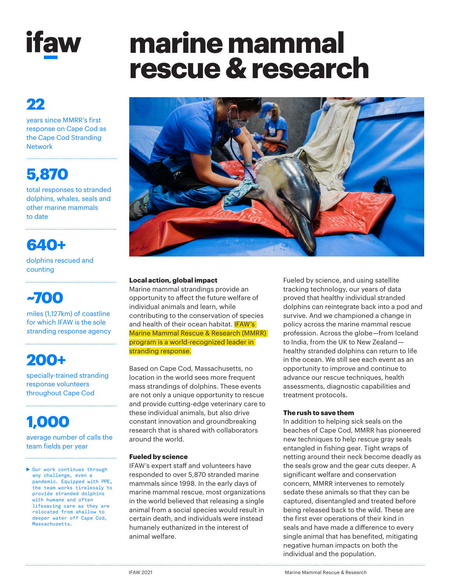

## **22**

years since MMRR's first response on Cape Cod as the Cape Cod Stranding Network

# **5,870**

total responses to stranded dolphins, whales, seals and other marine mammals to date

### **640+** dolphins rescued and counting

## **~700**

miles (1,127km) of coastline for which IFAW is the sole stranding response agency

# **200+**

specially-trained stranding response volunteers throughout Cape Cod

# **1,000**

average number of calls the team fields per year

▶ Our work continues through any challenge, even a pandemic. Equipped with PPE, the team works tirelessly to provide stranded dolphins with humane and often lifesaving care as they are relocated from shallow to deeper water off Cape Cod, Massachusetts.

# **marine mammal rescue & research**



#### **Local action, global impact**

Marine mammal strandings provide an opportunity to affect the future welfare of individual animals and learn, while contributing to the conservation of species and health of their ocean habitat. **IFAW's** Marine Mammal Rescue & Research (MMRR) program is a world-recognized leader in stranding response.

Based on Cape Cod, Massachusetts, no location in the world sees more frequent mass strandings of dolphins. These events are not only a unique opportunity to rescue and provide cutting-edge veterinary care to these individual animals, but also drive constant innovation and groundbreaking research that is shared with collaborators around the world.

#### **Fueled by science**

IFAW's expert staff and volunteers have responded to over 5,870 stranded marine mammals since 1998. In the early days of marine mammal rescue, most organizations in the world believed that releasing a single animal from a social species would result in certain death, and individuals were instead humanely euthanized in the interest of animal welfare.

Fueled by science, and using satellite tracking technology, our years of data proved that healthy individual stranded dolphins can reintegrate back into a pod and survive. And we championed a change in policy across the marine mammal rescue profession. Across the globe—from Iceland to India, from the UK to New Zealand  healthy stranded dolphins can return to life in the ocean. We still see each event as an opportunity to improve and continue to advance our rescue techniques, health assessments, diagnostic capabilities and treatment protocols.

#### **The rush to save them**

In addition to helping sick seals on the beaches of Cape Cod, MMRR has pioneered new techniques to help rescue gray seals entangled in fishing gear. Tight wraps of netting around their neck become deadly as the seals grow and the gear cuts deeper. A significant welfare and conservation concern, MMRR intervenes to remotely sedate these animals so that they can be captured, disentangled and treated before being released back to the wild. These are the first ever operations of their kind in seals and have made a difference to every single animal that has benefited, mitigating negative human impacts on both the individual and the population.